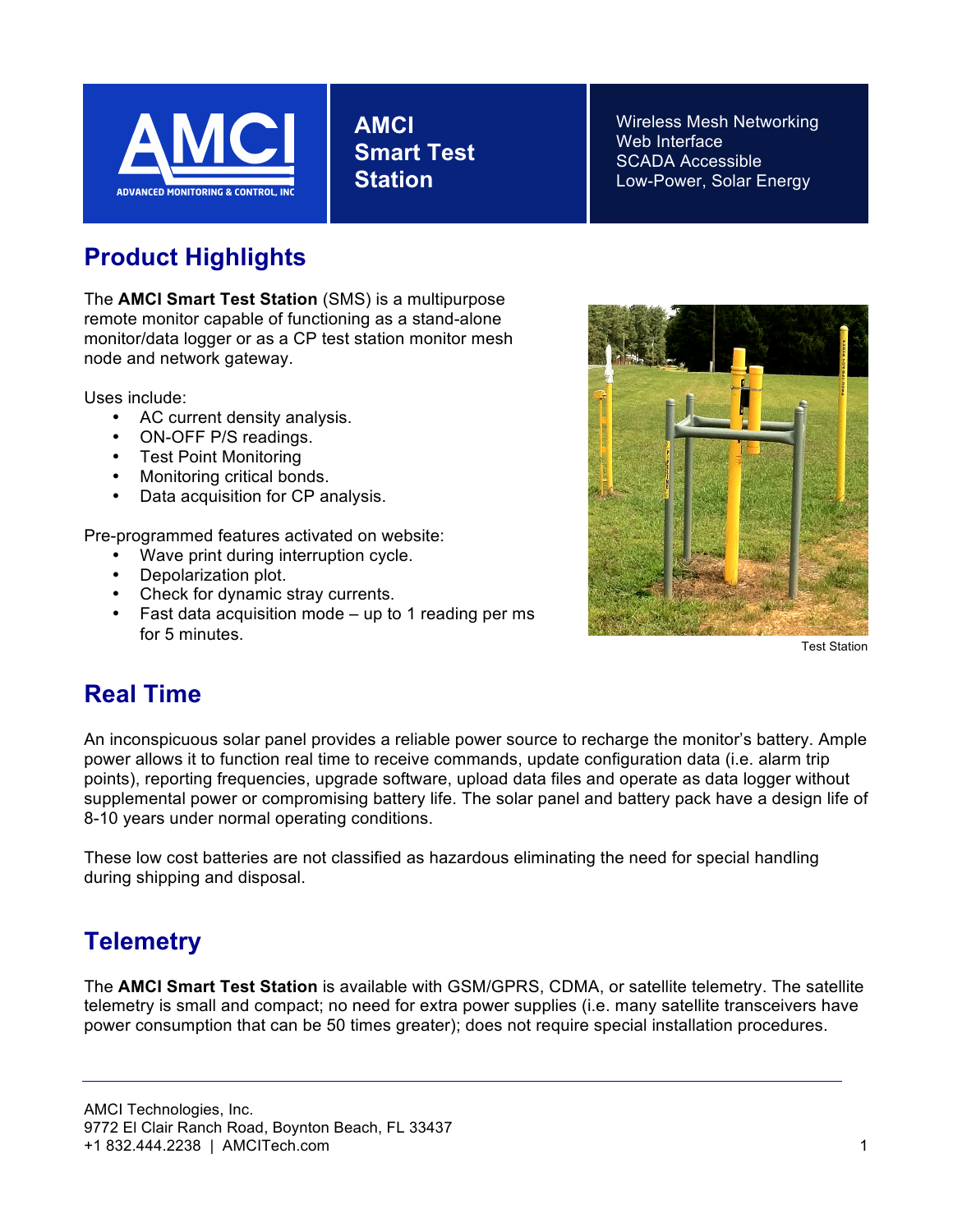

**, AMCI Smart Test Station**

Wireless Mesh Networking Web Interface SCADA Accessible Low-Power, Solar Energy

## **Product Highlights**

The **AMCI Smart Test Station** (SMS) is a multipurpose remote monitor capable of functioning as a stand-alone monitor/data logger or as a CP test station monitor mesh node and network gateway.

Uses include:

- AC current density analysis.
- ON-OFF P/S readings.
- Test Point Monitoring
- Monitoring critical bonds.
- Data acquisition for CP analysis.

Pre-programmed features activated on website:

- Wave print during interruption cycle.
- Depolarization plot.
- Check for dynamic stray currents.
- Fast data acquisition mode  $-$  up to 1 reading per ms for 5 minutes.



Test Station

# **Real Time**

An inconspicuous solar panel provides a reliable power source to recharge the monitor's battery. Ample power allows it to function real time to receive commands, update configuration data (i.e. alarm trip points), reporting frequencies, upgrade software, upload data files and operate as data logger without supplemental power or compromising battery life. The solar panel and battery pack have a design life of 8-10 years under normal operating conditions.

These low cost batteries are not classified as hazardous eliminating the need for special handling during shipping and disposal.

## **Telemetry**

The **AMCI Smart Test Station** is available with GSM/GPRS, CDMA, or satellite telemetry. The satellite telemetry is small and compact; no need for extra power supplies (i.e. many satellite transceivers have power consumption that can be 50 times greater); does not require special installation procedures.